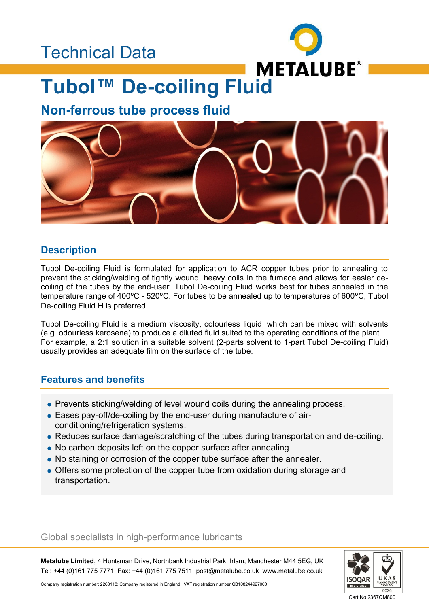# Technical Data



# **Tubol™ De-coiling Fluid**

# **Non-ferrous tube process fluid**



## **Description**

Tubol De-coiling Fluid is formulated for application to ACR copper tubes prior to annealing to prevent the sticking/welding of tightly wound, heavy coils in the furnace and allows for easier decoiling of the tubes by the end-user. Tubol De-coiling Fluid works best for tubes annealed in the temperature range of 400°C - 520°C. For tubes to be annealed up to temperatures of 600°C, Tubol De-coiling Fluid H is preferred.

Tubol De-coiling Fluid is a medium viscosity, colourless liquid, which can be mixed with solvents (e.g. odourless kerosene) to produce a diluted fluid suited to the operating conditions of the plant. For example, a 2:1 solution in a suitable solvent (2-parts solvent to 1-part Tubol De-coiling Fluid) usually provides an adequate film on the surface of the tube.

### **Features and benefits**

- Prevents sticking/welding of level wound coils during the annealing process.
- Eases pay-off/de-coiling by the end-user during manufacture of airconditioning/refrigeration systems.
- Reduces surface damage/scratching of the tubes during transportation and de-coiling.
- No carbon deposits left on the copper surface after annealing
- No staining or corrosion of the copper tube surface after the annealer.
- Offers some protection of the copper tube from oxidation during storage and transportation.

#### Global specialists in high-performance lubricants

**Metalube Limited**, 4 Huntsman Drive, Northbank Industrial Park, Irlam, Manchester M44 5EG, UK Tel: +44 (0)161 775 7771 Fax: +44 (0)161 775 7511 post@metalube.co.uk www.metalube.co.uk